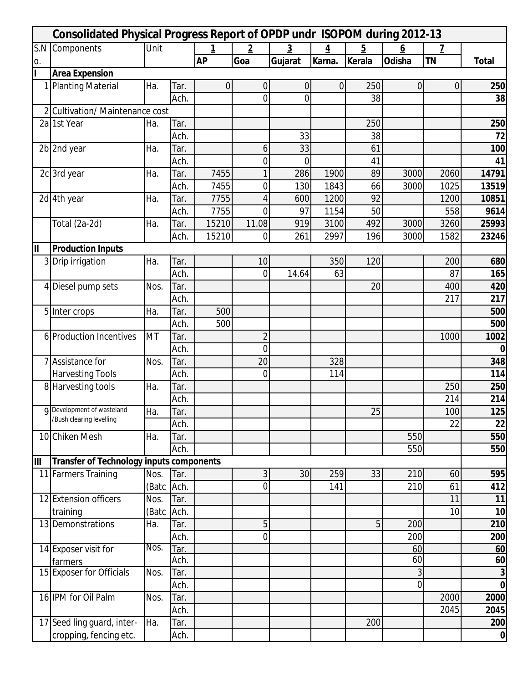| <b>Consolidated Physical Progress Report of OPDP undr ISOPOM during 2012-13</b> |                                                 |           |      |                |                |                |                |          |          |                |              |
|---------------------------------------------------------------------------------|-------------------------------------------------|-----------|------|----------------|----------------|----------------|----------------|----------|----------|----------------|--------------|
|                                                                                 | S.N Components                                  | Unit      |      | 1              | $\overline{2}$ | $\overline{3}$ | $\overline{4}$ | <u>5</u> | <u>6</u> | $\overline{Z}$ |              |
| 0.                                                                              |                                                 |           |      | <b>AP</b>      | Goa            | Gujarat        | Karna.         | Kerala   | Odisha   | <b>TN</b>      | <b>Total</b> |
| h                                                                               | <b>Area Expension</b>                           |           |      |                |                |                |                |          |          |                |              |
|                                                                                 | 1 Planting Material                             | Ha.       | Tar. | $\overline{0}$ | $\mathbf 0$    | 0              | $\mathbf 0$    | 250      | 0        | 0              | 250          |
|                                                                                 |                                                 |           | Ach. |                | $\overline{0}$ | $\overline{0}$ |                | 38       |          |                | 38           |
|                                                                                 | 2 Cultivation/ Maintenance cost                 |           |      |                |                |                |                |          |          |                |              |
|                                                                                 | 2a 1st Year                                     | Ha.       | Tar. |                |                |                |                | 250      |          |                | 250          |
|                                                                                 |                                                 |           | Ach. |                |                | 33             |                | 38       |          |                | 72           |
|                                                                                 | 2b 2nd year                                     | Ha.       | Tar. |                | 6              | 33             |                | 61       |          |                | 100          |
|                                                                                 |                                                 |           | Ach. |                | 0              | $\mathbf 0$    |                | 41       |          |                | 41           |
|                                                                                 | 2c 3rd year                                     | Ha.       | Tar. | 7455           |                | 286            | 1900           | 89       | 3000     | 2060           | 14791        |
|                                                                                 |                                                 |           | Ach. | 7455           | $\overline{0}$ | 130            | 1843           | 66       | 3000     | 1025           | 13519        |
|                                                                                 | 2d 4th year                                     | Ha.       | Tar. | 7755           | 4              | 600            | 1200           | 92       |          | 1200           | 10851        |
|                                                                                 |                                                 |           | Ach. | 7755           | $\overline{0}$ | 97             | 1154           | 50       |          | 558            | 9614         |
|                                                                                 | Total (2a-2d)                                   | Ha.       | Tar. | 15210          | 11.08          | 919            | 3100           | 492      | 3000     | 3260           | 25993        |
|                                                                                 |                                                 |           | Ach. | 15210          | $\overline{0}$ | 261            | 2997           | 196      | 3000     | 1582           | 23246        |
| II                                                                              | <b>Production Inputs</b>                        |           |      |                |                |                |                |          |          |                |              |
|                                                                                 | 3 Drip irrigation                               | Ha.       | Tar. |                | 10             |                | 350            | 120      |          | 200            | 680          |
|                                                                                 |                                                 |           | Ach. |                | $\overline{0}$ | 14.64          | 63             |          |          | 87             | 165          |
| 4                                                                               | Diesel pump sets                                | Nos.      | Tar. |                |                |                |                | 20       |          | 400            | 420          |
|                                                                                 |                                                 |           | Ach. |                |                |                |                |          |          | 217            | 217          |
|                                                                                 | 5 Inter crops                                   | Ha.       | Tar. | 500            |                |                |                |          |          |                | 500          |
|                                                                                 |                                                 |           | Ach. | 500            |                |                |                |          |          |                | 500          |
|                                                                                 | 6 Production Incentives                         | <b>MT</b> | Tar. |                | $\overline{2}$ |                |                |          |          | 1000           | 1002         |
|                                                                                 |                                                 |           | Ach. |                | $\mathbf 0$    |                |                |          |          |                | 0            |
|                                                                                 | 7 Assistance for                                | Nos.      | Tar. |                | 20             |                | 328            |          |          |                | 348          |
|                                                                                 |                                                 |           |      |                |                |                |                |          |          |                | 114          |
|                                                                                 | <b>Harvesting Tools</b>                         |           | Ach. |                | 0              |                | 114            |          |          | 250            | 250          |
|                                                                                 | 8 Harvesting tools                              | Ha.       | Tar. |                |                |                |                |          |          |                |              |
|                                                                                 | <b>q</b> Development of wasteland               |           | Ach. |                |                |                |                |          |          | 214            | 214          |
|                                                                                 | /Bush clearing levelling                        | Ha.       | Tar. |                |                |                |                | 25       |          | 100            | 125          |
|                                                                                 |                                                 |           | Ach. |                |                |                |                |          |          | 22             | 22           |
|                                                                                 | 10 Chiken Mesh                                  | Ha.       | Tar. |                |                |                |                |          | 550      |                | 550          |
|                                                                                 |                                                 |           | Ach. |                |                |                |                |          | 550      |                | 550          |
| Ш                                                                               | <b>Transfer of Technology inputs components</b> |           |      |                |                |                |                |          |          |                |              |
|                                                                                 | 11 Farmers Training                             | Nos.      | Tar. |                | 3              | 30             | 259            | 33       | 210      | 60             | 595          |
|                                                                                 |                                                 | (Batc     | Ach. |                | $\overline{0}$ |                | 141            |          | 210      | 61             | 412          |
|                                                                                 | 12 Extension officers                           | Nos.      | Tar. |                |                |                |                |          |          | 11             | 11           |
|                                                                                 | training                                        | (Batc     | Ach. |                |                |                |                |          |          | 10             | 10           |
|                                                                                 | 13 Demonstrations                               | Ha.       | Tar. |                | 5              |                |                | 5        | 200      |                | 210          |
|                                                                                 |                                                 |           | Ach. |                | $\overline{0}$ |                |                |          | 200      |                | 200          |
|                                                                                 | 14 Exposer visit for                            | Nos.      | Tar. |                |                |                |                |          | 60       |                | 60           |
|                                                                                 | farmers                                         |           | Ach. |                |                |                |                |          | 60       |                | 60           |
|                                                                                 | 15 Exposer for Officials                        | Nos.      | Tar. |                |                |                |                |          | 3        |                | 3            |
|                                                                                 |                                                 |           | Ach. |                |                |                |                |          | 0        |                | $\mathbf 0$  |
|                                                                                 | 16 IPM for Oil Palm                             | Nos.      | Tar. |                |                |                |                |          |          | 2000           | 2000         |
|                                                                                 |                                                 |           | Ach. |                |                |                |                |          |          | 2045           | 2045         |
|                                                                                 | 17 Seed ling guard, inter-                      | Ha.       | Tar. |                |                |                |                | 200      |          |                | 200          |
|                                                                                 | cropping, fencing etc.                          |           | Ach. |                |                |                |                |          |          |                | 0            |